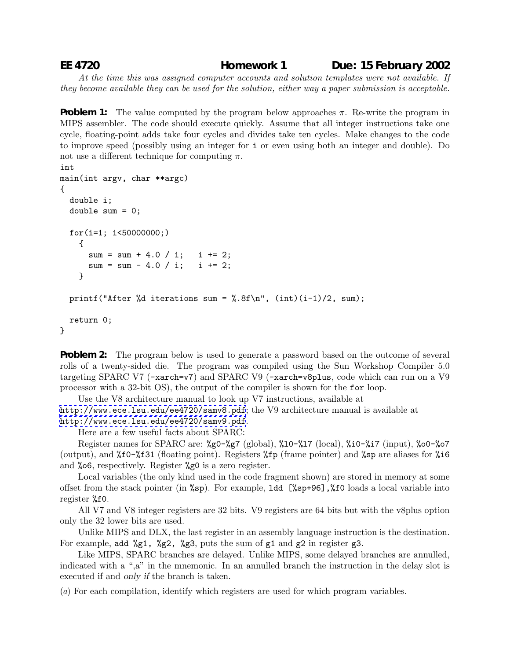**EE 4720 Homework 1 Due: 15 February 2002**

*At the time this was assigned computer accounts and solution templates were not available. If they become available they can be used for the solution, either way a paper submission is acceptable.*

**Problem 1:** The value computed by the program below approaches  $\pi$ . Re-write the program in MIPS assembler. The code should execute quickly. Assume that all integer instructions take one cycle, floating-point adds take four cycles and divides take ten cycles. Make changes to the code to improve speed (possibly using an integer for i or even using both an integer and double). Do not use a different technique for computing  $\pi$ .

```
int
main(int argv, char **argc)
{
  double i;
  double sum = 0;
  for(i=1; i<50000000;)
    {
      sum = sum + 4.0 / i; i += 2;
      sum = sum - 4.0 / i; i += 2;
    }
 printf("After %d iterations sum = %.8f\n", (int)(i-1)/2, sum);
  return 0;
}
```
**Problem 2:** The program below is used to generate a password based on the outcome of several rolls of a twenty-sided die. The program was compiled using the Sun Workshop Compiler 5.0 targeting SPARC V7 (-xarch=v7) and SPARC V9 (-xarch=v8plus, code which can run on a V9 processor with a 32-bit OS), the output of the compiler is shown for the for loop.

Use the V8 architecture manual to look up V7 instructions, available at

<http://www.ece.lsu.edu/ee4720/samv8.pdf>; the V9 architecture manual is available at <http://www.ece.lsu.edu/ee4720/samv9.pdf>.

Here are a few useful facts about SPARC:

Register names for SPARC are: %g0-%g7 (global), %l0-%l7 (local), %i0-%i7 (input), %o0-%o7 (output), and  $\text{\%}f0-\text{\%}f31$  (floating point). Registers  $\text{\%}f$  (frame pointer) and  $\text{\%}s$  are aliases for  $\text{\%}i6$ and %o6, respectively. Register %g0 is a zero register.

Local variables (the only kind used in the code fragment shown) are stored in memory at some offset from the stack pointer (in %sp). For example, ldd [%sp+96],%f0 loads a local variable into register %f0.

All V7 and V8 integer registers are 32 bits. V9 registers are 64 bits but with the v8plus option only the 32 lower bits are used.

Unlike MIPS and DLX, the last register in an assembly language instruction is the destination. For example, add  $\chi$ g1,  $\chi$ g2,  $\chi$ g3, puts the sum of g1 and g2 in register g3.

Like MIPS, SPARC branches are delayed. Unlike MIPS, some delayed branches are annulled, indicated with a ",a" in the mnemonic. In an annulled branch the instruction in the delay slot is executed if and *only if* the branch is taken.

(*a*) For each compilation, identify which registers are used for which program variables.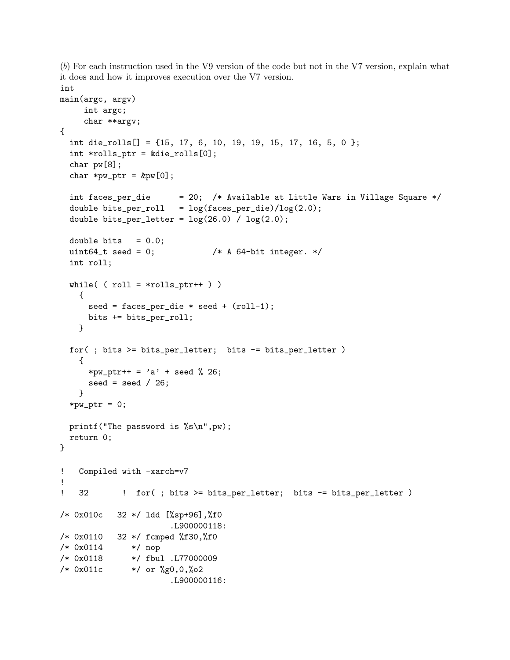(*b*) For each instruction used in the V9 version of the code but not in the V7 version, explain what it does and how it improves execution over the V7 version. int

```
main(argc, argv)
    int argc;
    char **argv;
{
  int die_rolls[] = \{15, 17, 6, 10, 19, 19, 15, 17, 16, 5, 0 \};
  int *rolls_ptr = &die_rolls[0];
  char pw[8];
  char *pw\_ptr = kpw[0];
  int faces_per_die = 20; /* Available at Little Wars in Village Square */
 double bits_per_roll = log(faces\_per\_die)/log(2.0);double bits_per_letter = log(26.0) / log(2.0);
 double bits = 0.0;
 uint64_t seed = 0; /* A 64-bit integer. */int roll;
 while( (\text{roll} = \text{*rolls\_ptr++}))
   {
     seed = faces\_per\_die * seed + (roll-1);bits += bits_per_roll;
   }
 for( ; bits >= bits_per_letter; bits -= bits_per_letter )
    {
     *pw_ptr++ = 'a' + seed % 26;
     seed = seed /26;
   }
  *pw_ptr = 0;
 printf("The password is %s\n",pw);
 return 0;
}
! Compiled with -xarch=v7
!
! 32 ! for( ; bits >= bits_per_letter; bits -= bits_per_letter )
/* 0x010c 32 */ ldd [%sp+96],%f0
                      .L900000118:
/* 0x0110 32 */ fcmped %f30,%f0
/* 0x0114 */ nop
/* 0x0118 */ fbul .L77000009
/* 0x011c */ or %g0,0,%o2
                      .L900000116:
```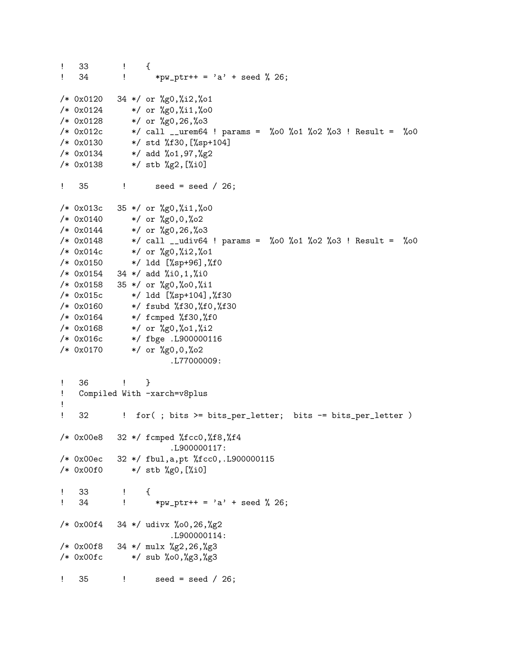```
! 33 ! {
! 34 ! *pw_ptr++ = 'a' + seed % 26;
/* 0x0120 34 */ or %g0,%i2,%o1
/* 0x0124 */ or %g0,%i1,%o0
/* 0x0128 */ or %g0,26,%o3
/* 0x012c */ call __urem64 ! params = %o0 %o1 %o2 %o3 ! Result = %o0
/* 0x0130 */ std %f30,[%sp+104]
/* 0x0134 */ add %o1,97,%g2
/* 0x0138 */ stb %g2,[%i0]
! 35 ! seed = seed / 26;
/* 0x013c 35 */ or %g0,%i1,%o0
/* 0x0140 */ or %g0,0,%o2
/* 0x0144 */ or %g0,26,%o3
/* 0x0148 */ call __udiv64 ! params = %o0 %o1 %o2 %o3 ! Result = %o0
/* 0x014c */ or %g0,%i2,%o1
/* 0x0150 */ ldd [%sp+96],%f0
/* 0x0154 34 */ add %i0,1,%i0
/* 0x0158 35 */ or %g0,%o0,%i1
/* 0x015c */ ldd [%sp+104],%f30
/* 0x0160 */ fsubd %f30,%f0,%f30
/* 0x0164 */ fcmped %f30,%f0
/* 0x0168 */ or %g0,%o1,%i2
/* 0x016c */ fbge .L900000116
/* 0x0170 */ or %g0,0,%o2
                    .L77000009:
! 36 ! }
! Compiled With -xarch=v8plus
!
! 32 ! for(; bits >= bits_per_letter; bits -= bits_per_letter )
/* 0x00e8 32 */ fcmped %fcc0,%f8,%f4
                    .L900000117:
/* 0x00ec 32 */ fbul,a,pt %fcc0,.L900000115
/* 0x00f0 */ stb %g0,[%i0]
! 33 ! {
! 34 ! *pw_ptr++ = 'a' + seed % 26;
/* 0x00f4 34 */ udivx %o0,26,%g2
                    .L900000114:
/* 0x00f8 34 */ mulx %g2,26,%g3
/* 0x00fc */ sub %o0,%g3,%g3
! 35 ! seed = seed / 26;
```